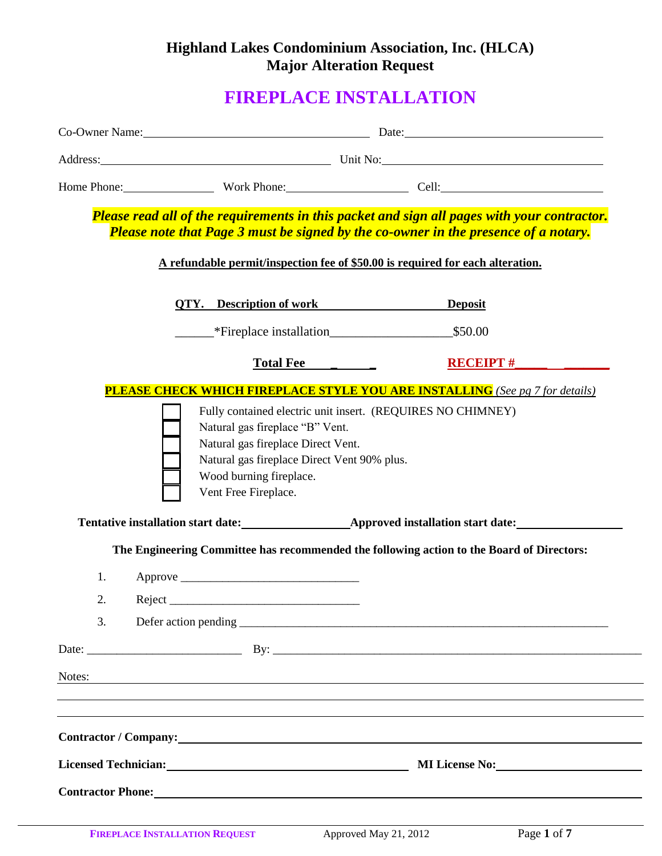## **Highland Lakes Condominium Association, Inc. (HLCA) Major Alteration Request**

# **FIREPLACE INSTALLATION**

|        | Co-Owner Name: Date: Date:                                                                                                                                                                                                                                           |                 |
|--------|----------------------------------------------------------------------------------------------------------------------------------------------------------------------------------------------------------------------------------------------------------------------|-----------------|
|        | Address: Unit No: Unit No:                                                                                                                                                                                                                                           |                 |
|        | Home Phone: Work Phone: Cell: Cell:                                                                                                                                                                                                                                  |                 |
|        | Please read all of the requirements in this packet and sign all pages with your contractor.<br>Please note that Page 3 must be signed by the co-owner in the presence of a notary.<br>A refundable permit/inspection fee of \$50.00 is required for each alteration. |                 |
|        | <b>QTY.</b> Description of work Deposit                                                                                                                                                                                                                              |                 |
|        | Fireplace installation S50.00                                                                                                                                                                                                                                        |                 |
|        | Total Fee                                                                                                                                                                                                                                                            | <b>RECEIPT#</b> |
|        | <b>PLEASE CHECK WHICH FIREPLACE STYLE YOU ARE INSTALLING</b> (See pg 7 for details)                                                                                                                                                                                  |                 |
|        | Natural gas fireplace "B" Vent.<br>Natural gas fireplace Direct Vent.<br>Natural gas fireplace Direct Vent 90% plus.<br>Wood burning fireplace.<br>Vent Free Fireplace.<br>Tentative installation start date:<br><u>Approved installation start date:</u>            |                 |
|        | The Engineering Committee has recommended the following action to the Board of Directors:                                                                                                                                                                            |                 |
| 1.     |                                                                                                                                                                                                                                                                      |                 |
| 2.     | Reject                                                                                                                                                                                                                                                               |                 |
| 3.     |                                                                                                                                                                                                                                                                      |                 |
|        |                                                                                                                                                                                                                                                                      |                 |
| Notes: | <u> 1989 - Johann Stoff, deutscher Stoff, der Stoff, der Stoff, der Stoff, der Stoff, der Stoff, der Stoff, der S</u>                                                                                                                                                |                 |
|        | <b>Contractor</b> / Company: <b>Example 2.1 August 2.1 August 2.1 August 2.1 August 2.1 August 2.1 August 2.1 August 2.1 August 2.1 August 2.1 August 2.1 August 2.1 August 2.1 August 2.1 August 2.1 August 2.1 August 2.1 August 2.</b>                            |                 |
|        |                                                                                                                                                                                                                                                                      |                 |
|        |                                                                                                                                                                                                                                                                      |                 |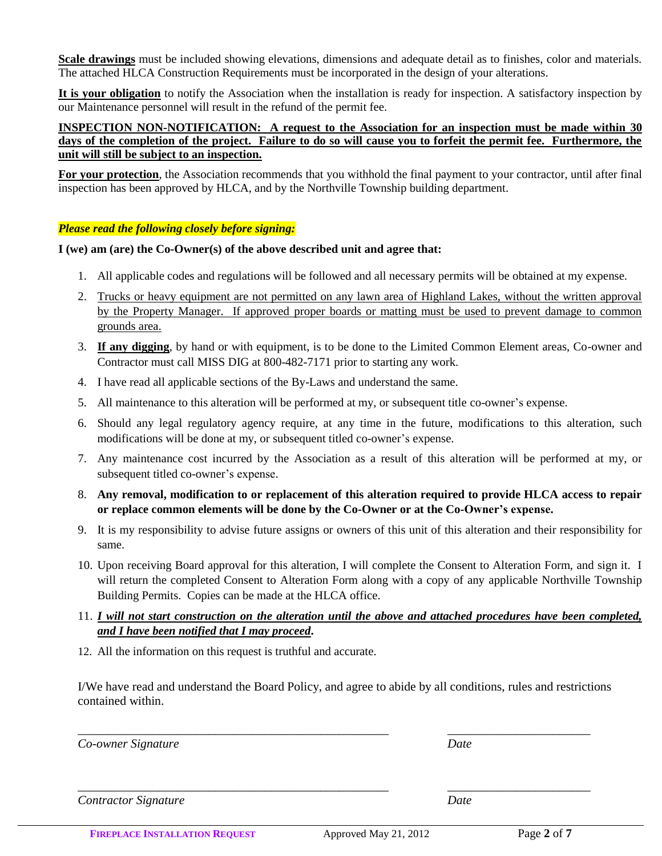**Scale drawings** must be included showing elevations, dimensions and adequate detail as to finishes, color and materials. The attached HLCA Construction Requirements must be incorporated in the design of your alterations.

**It is your obligation** to notify the Association when the installation is ready for inspection. A satisfactory inspection by our Maintenance personnel will result in the refund of the permit fee.

**INSPECTION NON-NOTIFICATION: A request to the Association for an inspection must be made within 30 days of the completion of the project. Failure to do so will cause you to forfeit the permit fee. Furthermore, the unit will still be subject to an inspection.** 

**For your protection**, the Association recommends that you withhold the final payment to your contractor, until after final inspection has been approved by HLCA, and by the Northville Township building department.

### *Please read the following closely before signing:*

### **I (we) am (are) the Co-Owner(s) of the above described unit and agree that:**

- 1. All applicable codes and regulations will be followed and all necessary permits will be obtained at my expense.
- 2. Trucks or heavy equipment are not permitted on any lawn area of Highland Lakes, without the written approval by the Property Manager. If approved proper boards or matting must be used to prevent damage to common grounds area.
- 3. **If any digging**, by hand or with equipment, is to be done to the Limited Common Element areas, Co-owner and Contractor must call MISS DIG at 800-482-7171 prior to starting any work.
- 4. I have read all applicable sections of the By-Laws and understand the same.
- 5. All maintenance to this alteration will be performed at my, or subsequent title co-owner's expense.
- 6. Should any legal regulatory agency require, at any time in the future, modifications to this alteration, such modifications will be done at my, or subsequent titled co-owner's expense.
- 7. Any maintenance cost incurred by the Association as a result of this alteration will be performed at my, or subsequent titled co-owner's expense.
- 8. **Any removal, modification to or replacement of this alteration required to provide HLCA access to repair or replace common elements will be done by the Co-Owner or at the Co-Owner's expense.**
- 9. It is my responsibility to advise future assigns or owners of this unit of this alteration and their responsibility for same.
- 10. Upon receiving Board approval for this alteration, I will complete the Consent to Alteration Form, and sign it. I will return the completed Consent to Alteration Form along with a copy of any applicable Northville Township Building Permits. Copies can be made at the HLCA office.
- 11. *I will not start construction on the alteration until the above and attached procedures have been completed, and I have been notified that I may proceed***.**
- 12. All the information on this request is truthful and accurate.

I/We have read and understand the Board Policy, and agree to abide by all conditions, rules and restrictions contained within.

*\_\_\_\_\_\_\_\_\_\_\_\_\_\_\_\_\_\_\_\_\_\_\_\_\_\_\_\_\_\_\_\_\_\_\_\_\_\_\_\_\_\_\_\_\_\_\_\_\_\_ \_\_\_\_\_\_\_\_\_\_\_\_\_\_\_\_\_\_\_\_\_\_\_*

*\_\_\_\_\_\_\_\_\_\_\_\_\_\_\_\_\_\_\_\_\_\_\_\_\_\_\_\_\_\_\_\_\_\_\_\_\_\_\_\_\_\_\_\_\_\_\_\_\_\_ \_\_\_\_\_\_\_\_\_\_\_\_\_\_\_\_\_\_\_\_\_\_\_*

*Co-owner Signature Date*

*Contractor Signature Date*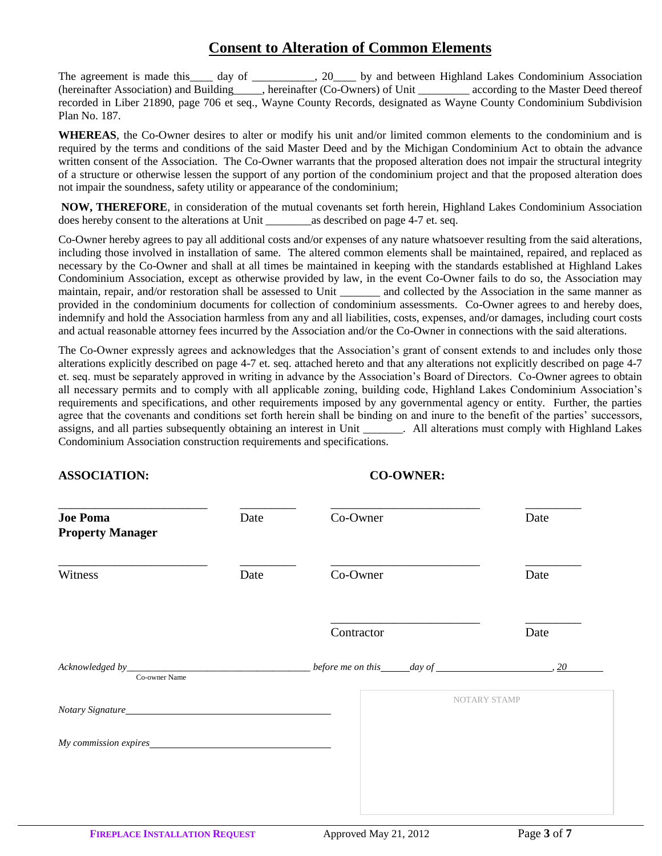### **Consent to Alteration of Common Elements**

The agreement is made this day of  $\qquad \qquad$ , 20 by and between Highland Lakes Condominium Association (hereinafter Association) and Building\_\_\_\_\_, hereinafter (Co-Owners) of Unit \_\_\_\_\_\_\_\_\_ according to the Master Deed thereof recorded in Liber 21890, page 706 et seq., Wayne County Records, designated as Wayne County Condominium Subdivision Plan No. 187.

**WHEREAS**, the Co-Owner desires to alter or modify his unit and/or limited common elements to the condominium and is required by the terms and conditions of the said Master Deed and by the Michigan Condominium Act to obtain the advance written consent of the Association. The Co-Owner warrants that the proposed alteration does not impair the structural integrity of a structure or otherwise lessen the support of any portion of the condominium project and that the proposed alteration does not impair the soundness, safety utility or appearance of the condominium;

**NOW, THEREFORE**, in consideration of the mutual covenants set forth herein, Highland Lakes Condominium Association does hereby consent to the alterations at Unit as described on page 4-7 et. seq.

Co-Owner hereby agrees to pay all additional costs and/or expenses of any nature whatsoever resulting from the said alterations, including those involved in installation of same. The altered common elements shall be maintained, repaired, and replaced as necessary by the Co-Owner and shall at all times be maintained in keeping with the standards established at Highland Lakes Condominium Association, except as otherwise provided by law, in the event Co-Owner fails to do so, the Association may maintain, repair, and/or restoration shall be assessed to Unit \_\_\_\_\_\_\_ and collected by the Association in the same manner as provided in the condominium documents for collection of condominium assessments. Co-Owner agrees to and hereby does, indemnify and hold the Association harmless from any and all liabilities, costs, expenses, and/or damages, including court costs and actual reasonable attorney fees incurred by the Association and/or the Co-Owner in connections with the said alterations.

The Co-Owner expressly agrees and acknowledges that the Association's grant of consent extends to and includes only those alterations explicitly described on page 4-7 et. seq. attached hereto and that any alterations not explicitly described on page 4-7 et. seq. must be separately approved in writing in advance by the Association's Board of Directors. Co-Owner agrees to obtain all necessary permits and to comply with all applicable zoning, building code, Highland Lakes Condominium Association's requirements and specifications, and other requirements imposed by any governmental agency or entity. Further, the parties agree that the covenants and conditions set forth herein shall be binding on and inure to the benefit of the parties' successors, assigns, and all parties subsequently obtaining an interest in Unit \_\_\_\_\_\_\_. All alterations assigns, and all parties subsequently obtaining an interest in Unit \_\_\_\_\_\_\_. All alterations must comply with Highland Lakes Condominium Association construction requirements and specifications.

### **ASSOCIATION: CO-OWNER:**

| <b>Joe Poma</b><br><b>Property Manager</b> | Date | Co-Owner                                            | Date                |
|--------------------------------------------|------|-----------------------------------------------------|---------------------|
| Witness                                    | Date | Co-Owner                                            | Date                |
|                                            |      | Contractor                                          | Date                |
| Co-owner Name                              |      | before me on this $day of$ $\overline{\phantom{a}}$ |                     |
| Notary Signature                           |      |                                                     | <b>NOTARY STAMP</b> |
| My commission expires                      |      |                                                     |                     |
|                                            |      |                                                     |                     |
|                                            |      |                                                     |                     |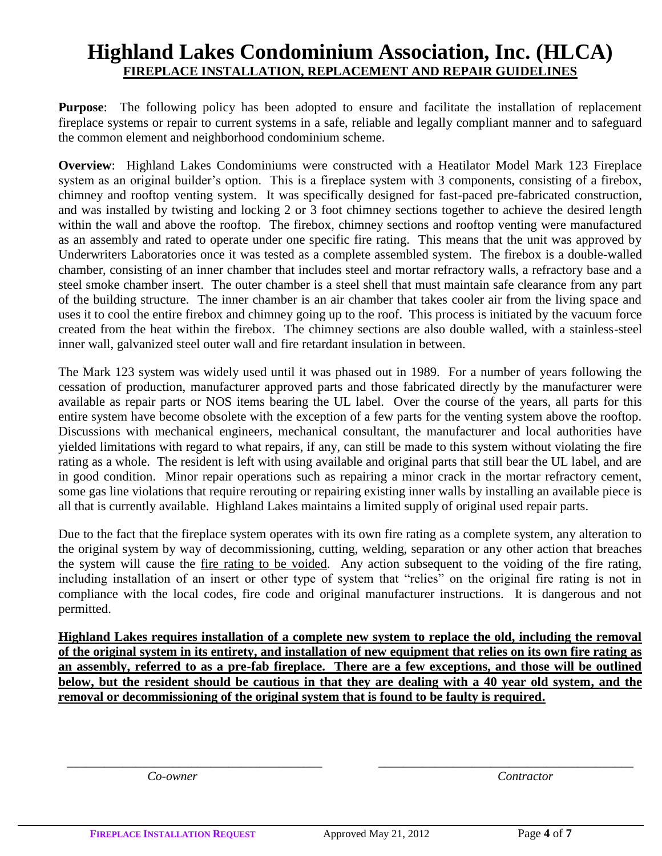## **Highland Lakes Condominium Association, Inc. (HLCA) FIREPLACE INSTALLATION, REPLACEMENT AND REPAIR GUIDELINES**

**Purpose**: The following policy has been adopted to ensure and facilitate the installation of replacement fireplace systems or repair to current systems in a safe, reliable and legally compliant manner and to safeguard the common element and neighborhood condominium scheme.

**Overview**: Highland Lakes Condominiums were constructed with a Heatilator Model Mark 123 Fireplace system as an original builder's option. This is a fireplace system with 3 components, consisting of a firebox, chimney and rooftop venting system. It was specifically designed for fast-paced pre-fabricated construction, and was installed by twisting and locking 2 or 3 foot chimney sections together to achieve the desired length within the wall and above the rooftop. The firebox, chimney sections and rooftop venting were manufactured as an assembly and rated to operate under one specific fire rating. This means that the unit was approved by Underwriters Laboratories once it was tested as a complete assembled system. The firebox is a double-walled chamber, consisting of an inner chamber that includes steel and mortar refractory walls, a refractory base and a steel smoke chamber insert. The outer chamber is a steel shell that must maintain safe clearance from any part of the building structure. The inner chamber is an air chamber that takes cooler air from the living space and uses it to cool the entire firebox and chimney going up to the roof. This process is initiated by the vacuum force created from the heat within the firebox. The chimney sections are also double walled, with a stainless-steel inner wall, galvanized steel outer wall and fire retardant insulation in between.

The Mark 123 system was widely used until it was phased out in 1989. For a number of years following the cessation of production, manufacturer approved parts and those fabricated directly by the manufacturer were available as repair parts or NOS items bearing the UL label. Over the course of the years, all parts for this entire system have become obsolete with the exception of a few parts for the venting system above the rooftop. Discussions with mechanical engineers, mechanical consultant, the manufacturer and local authorities have yielded limitations with regard to what repairs, if any, can still be made to this system without violating the fire rating as a whole. The resident is left with using available and original parts that still bear the UL label, and are in good condition. Minor repair operations such as repairing a minor crack in the mortar refractory cement, some gas line violations that require rerouting or repairing existing inner walls by installing an available piece is all that is currently available. Highland Lakes maintains a limited supply of original used repair parts.

Due to the fact that the fireplace system operates with its own fire rating as a complete system, any alteration to the original system by way of decommissioning, cutting, welding, separation or any other action that breaches the system will cause the fire rating to be voided. Any action subsequent to the voiding of the fire rating, including installation of an insert or other type of system that "relies" on the original fire rating is not in compliance with the local codes, fire code and original manufacturer instructions. It is dangerous and not permitted.

**Highland Lakes requires installation of a complete new system to replace the old, including the removal of the original system in its entirety, and installation of new equipment that relies on its own fire rating as an assembly, referred to as a pre-fab fireplace. There are a few exceptions, and those will be outlined below, but the resident should be cautious in that they are dealing with a 40 year old system, and the removal or decommissioning of the original system that is found to be faulty is required.**

*\_\_\_\_\_\_\_\_\_\_\_\_\_\_\_\_\_\_\_\_\_\_\_\_\_\_\_\_\_\_\_\_\_\_\_\_\_\_\_\_\_ \_\_\_\_\_\_\_\_\_\_\_\_\_\_\_\_\_\_\_\_\_\_\_\_\_\_\_\_\_\_\_\_\_\_\_\_\_\_\_\_\_*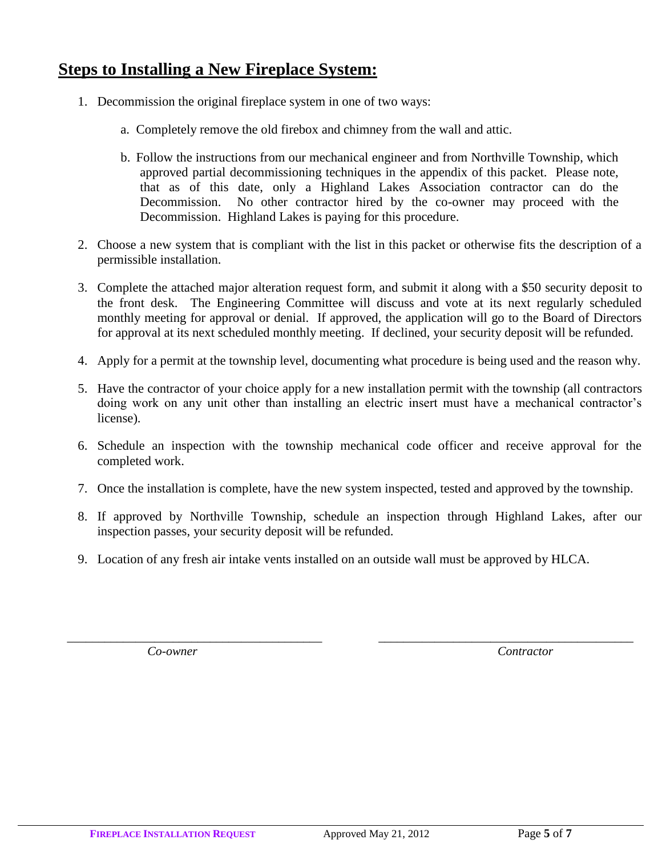### **Steps to Installing a New Fireplace System:**

- 1. Decommission the original fireplace system in one of two ways:
	- a. Completely remove the old firebox and chimney from the wall and attic.
	- b. Follow the instructions from our mechanical engineer and from Northville Township, which approved partial decommissioning techniques in the appendix of this packet. Please note, that as of this date, only a Highland Lakes Association contractor can do the Decommission. No other contractor hired by the co-owner may proceed with the Decommission. Highland Lakes is paying for this procedure.
- 2. Choose a new system that is compliant with the list in this packet or otherwise fits the description of a permissible installation.
- 3. Complete the attached major alteration request form, and submit it along with a \$50 security deposit to the front desk. The Engineering Committee will discuss and vote at its next regularly scheduled monthly meeting for approval or denial. If approved, the application will go to the Board of Directors for approval at its next scheduled monthly meeting. If declined, your security deposit will be refunded.
- 4. Apply for a permit at the township level, documenting what procedure is being used and the reason why.
- 5. Have the contractor of your choice apply for a new installation permit with the township (all contractors doing work on any unit other than installing an electric insert must have a mechanical contractor's license).
- 6. Schedule an inspection with the township mechanical code officer and receive approval for the completed work.
- 7. Once the installation is complete, have the new system inspected, tested and approved by the township.
- 8. If approved by Northville Township, schedule an inspection through Highland Lakes, after our inspection passes, your security deposit will be refunded.
- 9. Location of any fresh air intake vents installed on an outside wall must be approved by HLCA.

*\_\_\_\_\_\_\_\_\_\_\_\_\_\_\_\_\_\_\_\_\_\_\_\_\_\_\_\_\_\_\_\_\_\_\_\_\_\_\_\_\_ \_\_\_\_\_\_\_\_\_\_\_\_\_\_\_\_\_\_\_\_\_\_\_\_\_\_\_\_\_\_\_\_\_\_\_\_\_\_\_\_\_*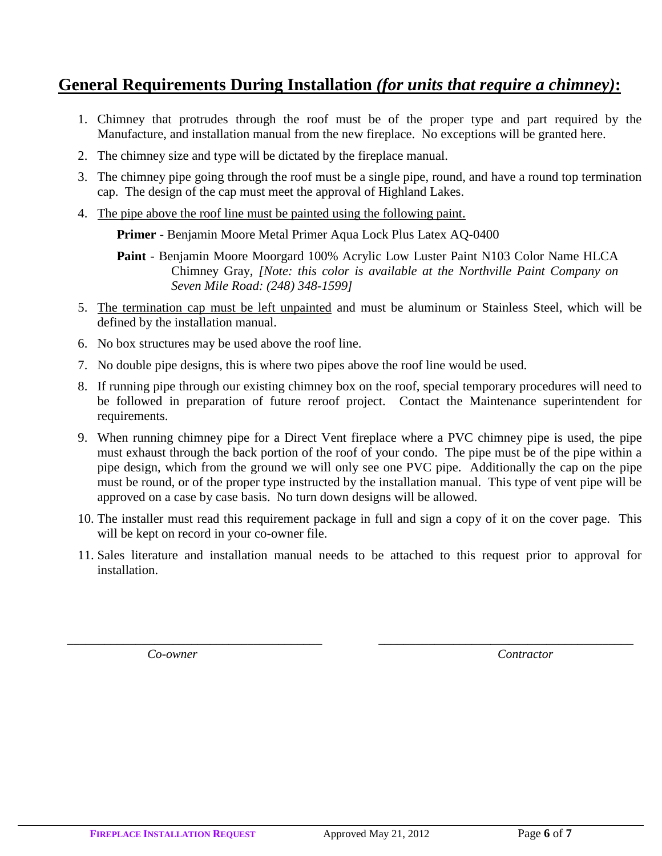### **General Requirements During Installation** *(for units that require a chimney)***:**

- 1. Chimney that protrudes through the roof must be of the proper type and part required by the Manufacture, and installation manual from the new fireplace. No exceptions will be granted here.
- 2. The chimney size and type will be dictated by the fireplace manual.
- 3. The chimney pipe going through the roof must be a single pipe, round, and have a round top termination cap. The design of the cap must meet the approval of Highland Lakes.
- 4. The pipe above the roof line must be painted using the following paint.

**Primer** - Benjamin Moore Metal Primer Aqua Lock Plus Latex AQ-0400

**Paint** - Benjamin Moore Moorgard 100% Acrylic Low Luster Paint N103 Color Name HLCA Chimney Gray, *[Note: this color is available at the Northville Paint Company on Seven Mile Road: (248) 348-1599]*

- 5. The termination cap must be left unpainted and must be aluminum or Stainless Steel, which will be defined by the installation manual.
- 6. No box structures may be used above the roof line.
- 7. No double pipe designs, this is where two pipes above the roof line would be used.
- 8. If running pipe through our existing chimney box on the roof, special temporary procedures will need to be followed in preparation of future reroof project. Contact the Maintenance superintendent for requirements.
- 9. When running chimney pipe for a Direct Vent fireplace where a PVC chimney pipe is used, the pipe must exhaust through the back portion of the roof of your condo. The pipe must be of the pipe within a pipe design, which from the ground we will only see one PVC pipe. Additionally the cap on the pipe must be round, or of the proper type instructed by the installation manual. This type of vent pipe will be approved on a case by case basis. No turn down designs will be allowed.
- 10. The installer must read this requirement package in full and sign a copy of it on the cover page. This will be kept on record in your co-owner file.
- 11. Sales literature and installation manual needs to be attached to this request prior to approval for installation.

*\_\_\_\_\_\_\_\_\_\_\_\_\_\_\_\_\_\_\_\_\_\_\_\_\_\_\_\_\_\_\_\_\_\_\_\_\_\_\_\_\_ \_\_\_\_\_\_\_\_\_\_\_\_\_\_\_\_\_\_\_\_\_\_\_\_\_\_\_\_\_\_\_\_\_\_\_\_\_\_\_\_\_*